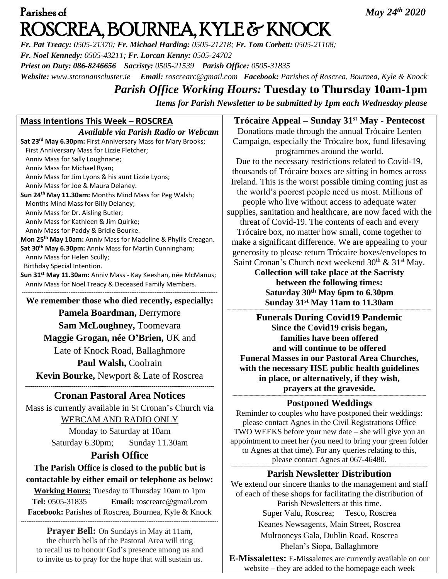# Parishes of *May 24th 2020*  ROSCREA, BOURNEA, KYLE & KNOCK

*Fr. Pat Treacy: 0505-21370; Fr. Michael Harding: 0505-21218; Fr. Tom Corbett: 0505-21108; Fr. Noel Kennedy: 0505-43211; Fr. Lorcan Kenny: 0505-24702 Priest on Duty: 086-8246656 Sacristy: 0505-21539 Parish Office: 0505-31835 Website: [www.stcronanscluster.ie](http://www.stcronanscluster.ie/) Email: [roscrearc@gmail.com](mailto:roscrearc@gmail.com) Facebook: Parishes of Roscrea, Bournea, Kyle & Knock* 

# *Parish Office Working Hours:* **Tuesday to Thursday 10am-1pm** *Items for Parish Newsletter to be submitted by 1pm each Wednesday please*

## **Mass Intentions This Week – ROSCREA**

*Available via Parish Radio or Webcam* **Sat 23rd May 6.30pm:** First Anniversary Mass for Mary Brooks; First Anniversary Mass for Lizzie Fletcher; Anniv Mass for Sally Loughnane; Anniv Mass for Michael Ryan; Anniv Mass for Jim Lyons & his aunt Lizzie Lyons; Anniv Mass for Joe & Maura Delaney. **Sun 24th May 11.30am:** Months Mind Mass for Peg Walsh; Months Mind Mass for Billy Delaney; Anniv Mass for Dr. Aisling Butler; Anniv Mass for Kathleen & Jim Quirke; Anniv Mass for Paddy & Bridie Bourke. **Mon 25th May 10am:** Anniv Mass for Madeline & Phyllis Creagan. **Sat 30th May 6.30pm:** Anniv Mass for Martin Cunningham; Anniv Mass for Helen Scully; Birthday Special Intention. **Sun 31st May 11.30am:** Anniv Mass - Kay Keeshan, née McManus; Anniv Mass for Noel Treacy & Deceased Family Members. ------------------------------------------------------------------------------------------------------------- **We remember those who died recently, especially: Pamela Boardman,** Derrymore

**Sam McLoughney,** Toomevara **Maggie Grogan, née O'Brien,** UK and Late of Knock Road, Ballaghmore **Paul Walsh,** Coolrain **Kevin Bourke,** Newport & Late of Roscrea

### ------------------------------------------------------------------------------------------------- **Cronan Pastoral Area Notices**

Mass is currently available in St Cronan's Church via WEBCAM AND RADIO ONLY

Monday to Saturday at 10am Saturday 6.30pm; Sunday 11.30am

# **Parish Office**

**The Parish Office is closed to the public but is contactable by either email or telephone as below:**

**Working Hours:** Tuesday to Thursday 10am to 1pm **Tel:** 0505-31835 **Email:** [roscrearc@gmail.com](mailto:roscrearc@gmail.com) **Facebook:** Parishes of Roscrea, Bournea, Kyle & Knock

--------------------------------------------------------------------------------------------------------------

**Prayer Bell:** On Sundays in May at 11am, the church bells of the Pastoral Area will ring to recall us to honour God's presence among us and to invite us to pray for the hope that will sustain us.

**Trócaire Appeal – Sunday 31st May - Pentecost** Donations made through the annual Trócaire Lenten Campaign, especially the Trócaire box, fund lifesaving programmes around the world.

Due to the necessary restrictions related to Covid-19, thousands of Trócaire boxes are sitting in homes across Ireland. This is the worst possible timing coming just as the world's poorest people need us most. Millions of people who live without access to adequate water supplies, sanitation and healthcare, are now faced with the threat of Covid-19. The contents of each and every Trócaire box, no matter how small, come together to make a significant difference. We are appealing to your generosity to please return Trócaire boxes/envelopes to

Saint Cronan's Church next weekend  $30<sup>th</sup>$  &  $31<sup>st</sup>$  May. **Collection will take place at the Sacristy between the following times: Saturday 30th May 6pm to 6.30pm Sunday 31 st May 11am to 11.30am**

------------------------------------------------------------------------------------------------------------------------------------------------------------------------

**Funerals During Covid19 Pandemic Since the Covid19 crisis began, families have been offered and will continue to be offered Funeral Masses in our Pastoral Area Churches, with the necessary HSE public health guidelines in place, or alternatively, if they wish, prayers at the graveside.**

#### *---------------------------------------------------------------------------------------------------------------------------------------------------------------* **Postponed Weddings**

Reminder to couples who have postponed their weddings: please contact Agnes in the Civil Registrations Office TWO WEEKS before your new date – she will give you an appointment to meet her (you need to bring your green folder to Agnes at that time). For any queries relating to this, please contact Agnes at 067-46480. **-----------------------------------------------------------------------------------------------------------------------------------------------------------------**

### **Parish Newsletter Distribution**

We extend our sincere thanks to the management and staff of each of these shops for facilitating the distribution of Parish Newsletters at this time. Super Valu, Roscrea; Tesco, Roscrea Keanes Newsagents, Main Street, Roscrea Mulrooneys Gala, Dublin Road, Roscrea Phelan's Siopa, Ballaghmore

**E-Missalettes:** E-Missalettes are currently available on our website – they are added to the homepage each week